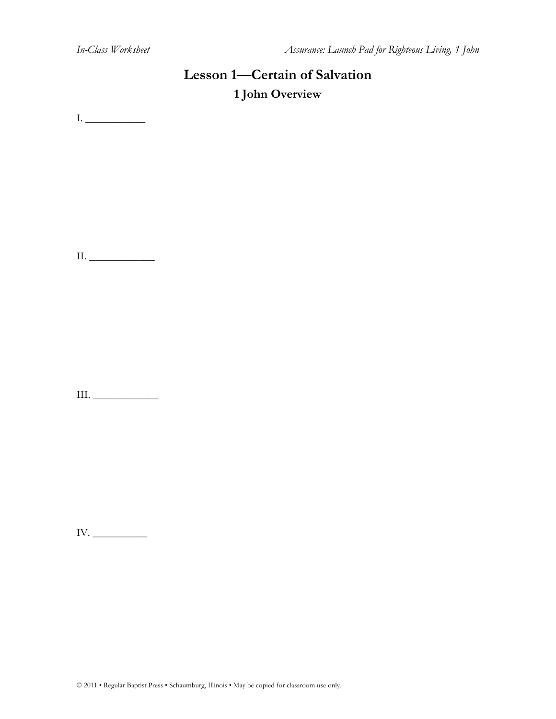# **Lesson 1—Certain of Salvation 1 John Overview**

 $\label{eq:1} \hfill \text{I.}\; \underline{\hfill \text{I.}\;}$ 

II. \_\_\_\_\_\_\_\_\_\_\_\_

III.  $\_\_\_\_\_\_\_\_\_\_\_\_$ 

IV. \_\_\_\_\_\_\_\_\_\_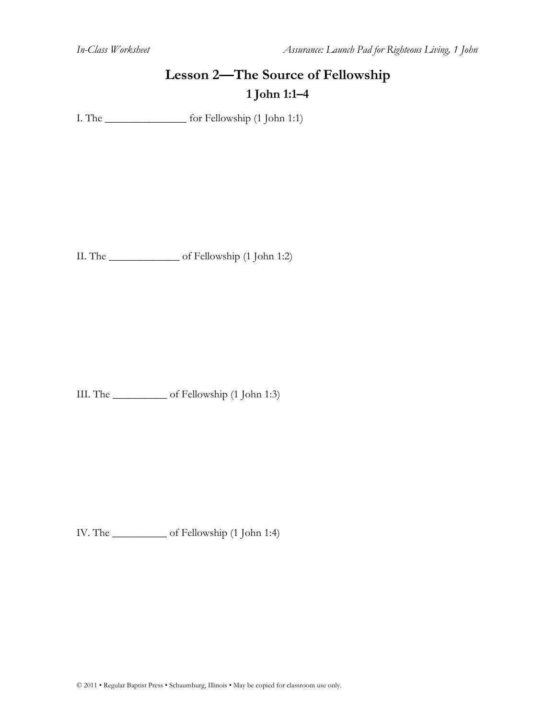# **Lesson 2—The Source of Fellowship 1 John 1:1–4**

I. The \_\_\_\_\_\_\_\_\_\_\_\_\_\_\_ for Fellowship (1 John 1:1)

II. The \_\_\_\_\_\_\_\_\_\_\_\_\_ of Fellowship (1 John 1:2)

III. The \_\_\_\_\_\_\_\_\_\_ of Fellowship (1 John 1:3)

IV. The \_\_\_\_\_\_\_\_\_\_ of Fellowship (1 John 1:4)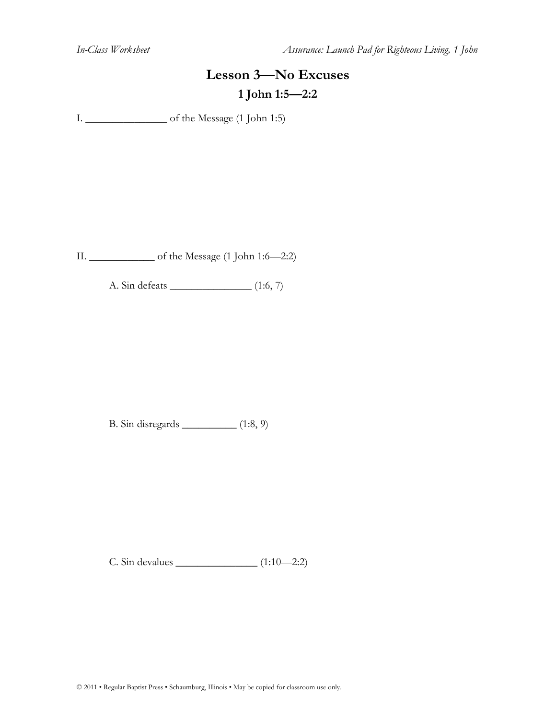*In-Class Worksheet Assurance: Launch Pad for Righteous Living, 1 John*

# **Lesson 3—No Excuses 1 John 1:5—2:2**

I. \_\_\_\_\_\_\_\_\_\_\_\_\_\_\_ of the Message (1 John 1:5)

II. \_\_\_\_\_\_\_\_\_\_\_\_ of the Message (1 John 1:6—2:2)

A. Sin defeats \_\_\_\_\_\_\_\_\_\_\_\_\_\_\_ (1:6, 7)

B. Sin disregards \_\_\_\_\_\_\_\_\_\_ (1:8, 9)

C. Sin devalues \_\_\_\_\_\_\_\_\_\_\_\_\_\_\_ (1:10—2:2)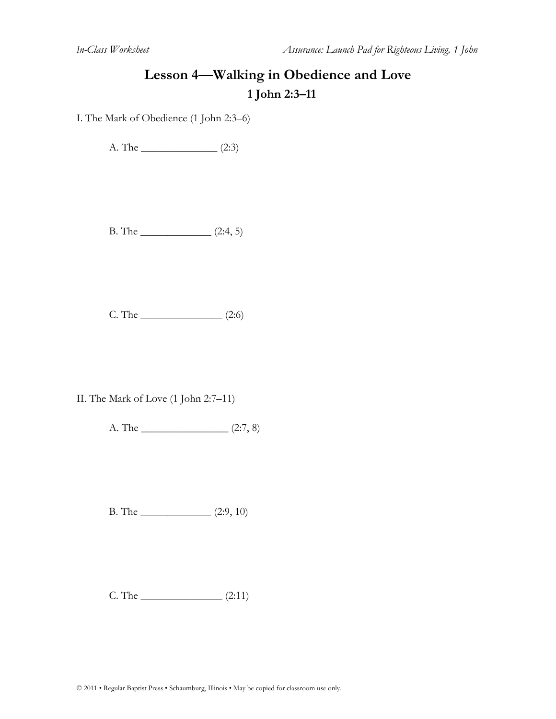#### **Lesson 4—Walking in Obedience and Love 1 John 2:3–11**

I. The Mark of Obedience (1 John 2:3–6)

A. The  $\qquad (2:3)$ 

B. The  $\frac{\qquad (2:4, 5)}{2}$ 

 $C.$  The  $(2:6)$ 

II. The Mark of Love (1 John 2:7–11)

A. The  $\frac{\qquad (2:7, 8)}{2}$ 

B. The \_\_\_\_\_\_\_\_\_\_\_\_\_ (2:9, 10)

 $C. The ________ (2:11)$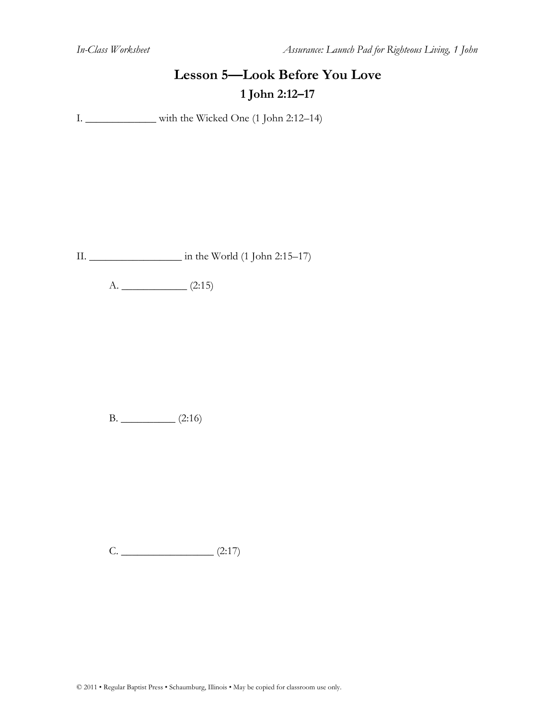## **Lesson 5—Look Before You Love 1 John 2:12–17**

I. \_\_\_\_\_\_\_\_\_\_\_\_\_ with the Wicked One (1 John 2:12–14)

II. \_\_\_\_\_\_\_\_\_\_\_\_\_\_\_\_\_ in the World (1 John 2:15–17)

 $A.$  (2:15)

B. \_\_\_\_\_\_\_\_\_\_ (2:16)

 $C.$  (2:17)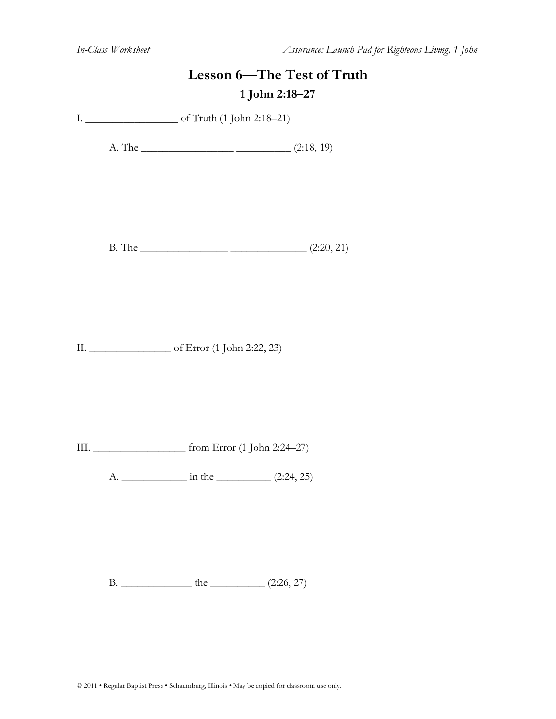*In-Class Worksheet Assurance: Launch Pad for Righteous Living, 1 John*

|  | Lesson 6-The Test of Truth<br>1 John 2:18-27 |  |  |
|--|----------------------------------------------|--|--|
|  |                                              |  |  |
|  | A. The $\frac{\qquad (2:18, 19)}{}$          |  |  |
|  | B. The $\frac{\qquad (2:20, 21)}{8}$         |  |  |
|  |                                              |  |  |
|  |                                              |  |  |
|  |                                              |  |  |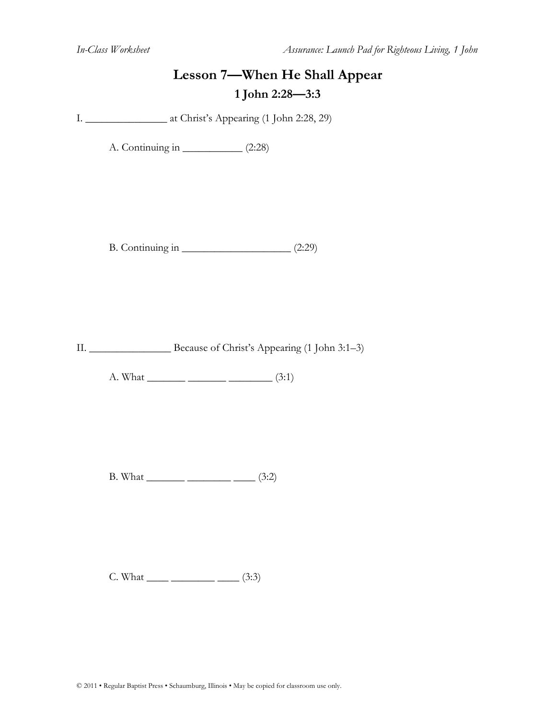#### **Lesson 7—When He Shall Appear 1 John 2:28—3:3**

I. \_\_\_\_\_\_\_\_\_\_\_\_\_\_\_ at Christ's Appearing (1 John 2:28, 29)

A. Continuing in \_\_\_\_\_\_\_\_\_\_\_ (2:28)

B. Continuing in \_\_\_\_\_\_\_\_\_\_\_\_\_\_\_\_\_\_\_\_ (2:29)

II. \_\_\_\_\_\_\_\_\_\_\_\_\_\_\_ Because of Christ's Appearing (1 John 3:1–3)

A. What  $\frac{\ }{}$  (3:1)

 $B. What ________ ________ (3:2)$ 

 $C. What ________ ________ (3:3)$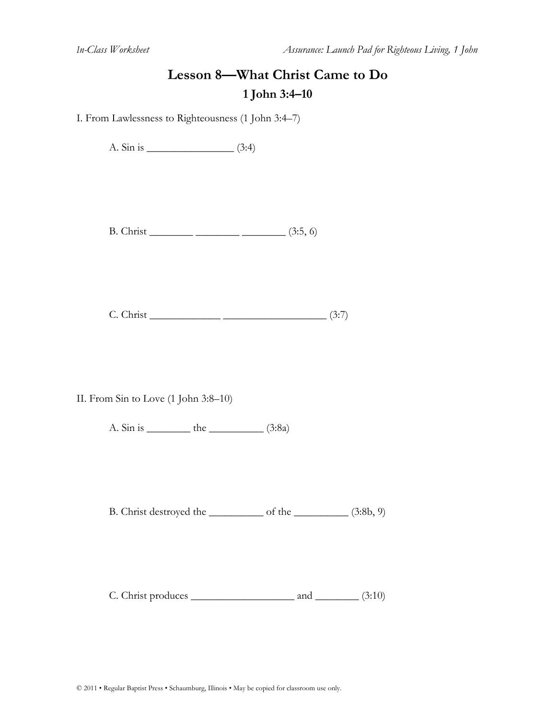### **Lesson 8—What Christ Came to Do 1 John 3:4–10**

I. From Lawlessness to Righteousness (1 John 3:4–7)

A. Sin is \_\_\_\_\_\_\_\_\_\_\_\_\_\_\_\_ (3:4)

B. Christ \_\_\_\_\_\_\_\_ \_\_\_\_\_\_\_\_ \_\_\_\_\_\_\_\_ (3:5, 6)

 $C.$  Christ  $\frac{\qquad \qquad }{27}$ 

II. From Sin to Love (1 John 3:8–10)

A. Sin is \_\_\_\_\_\_\_\_\_\_\_ the \_\_\_\_\_\_\_\_\_\_\_\_ (3:8a)

B. Christ destroyed the \_\_\_\_\_\_\_\_\_\_ of the \_\_\_\_\_\_\_\_\_\_ (3:8b, 9)

 $C.$  Christ produces  $\qquad \qquad$  and  $\qquad \qquad$  (3:10)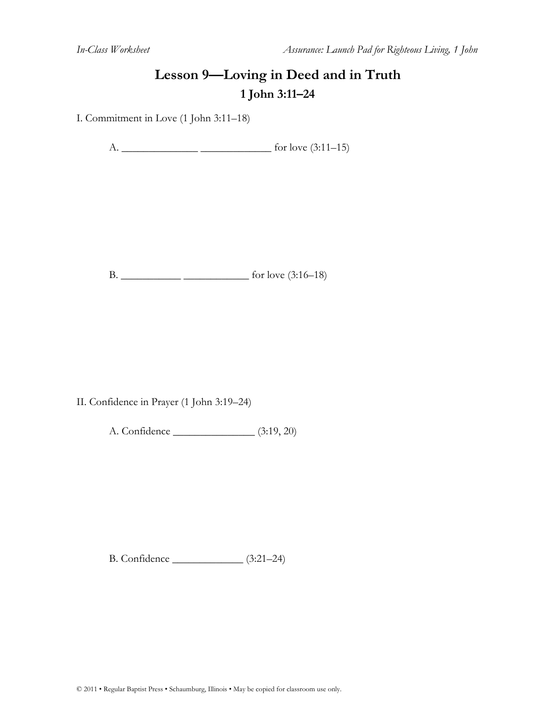# **Lesson 9—Loving in Deed and in Truth 1 John 3:11–24**

I. Commitment in Love (1 John 3:11–18)

A. \_\_\_\_\_\_\_\_\_\_\_\_\_\_ \_\_\_\_\_\_\_\_\_\_\_\_\_ for love (3:11–15)

B. \_\_\_\_\_\_\_\_\_\_\_ \_\_\_\_\_\_\_\_\_\_\_\_ for love (3:16–18)

II. Confidence in Prayer (1 John 3:19–24)

A. Confidence \_\_\_\_\_\_\_\_\_\_\_\_\_\_\_ (3:19, 20)

B. Confidence \_\_\_\_\_\_\_\_\_\_\_\_\_ (3:21–24)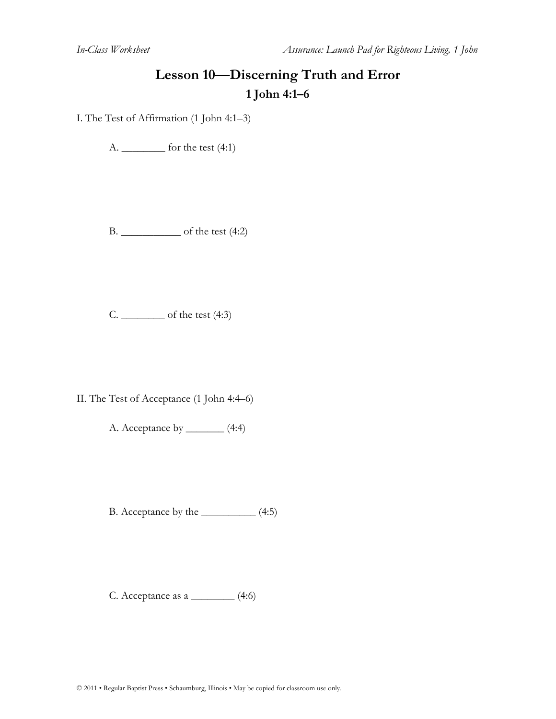# **Lesson 10—Discerning Truth and Error 1 John 4:1–6**

I. The Test of Affirmation (1 John 4:1–3)

A. \_\_\_\_\_\_\_\_ for the test (4:1)

B. \_\_\_\_\_\_\_\_\_\_\_ of the test (4:2)

C.  $\frac{\ }{\ }$  of the test (4:3)

II. The Test of Acceptance (1 John 4:4–6)

A. Acceptance by \_\_\_\_\_\_\_ (4:4)

B. Acceptance by the \_\_\_\_\_\_\_\_\_\_ (4:5)

C. Acceptance as a \_\_\_\_\_\_\_\_ (4:6)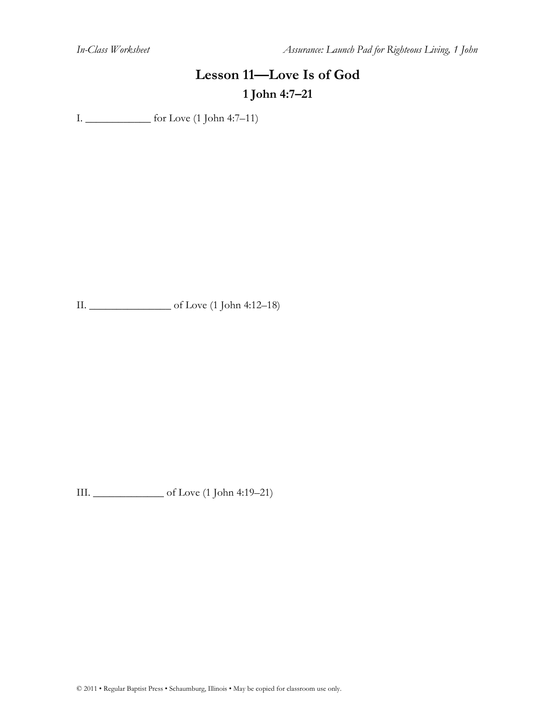*In-Class Worksheet Assurance: Launch Pad for Righteous Living, 1 John*

# **Lesson 11—Love Is of God 1 John 4:7–21**

I. \_\_\_\_\_\_\_\_\_\_\_\_ for Love (1 John 4:7–11)

II. \_\_\_\_\_\_\_\_\_\_\_\_\_\_\_ of Love (1 John 4:12–18)

III. \_\_\_\_\_\_\_\_\_\_\_\_\_ of Love (1 John 4:19–21)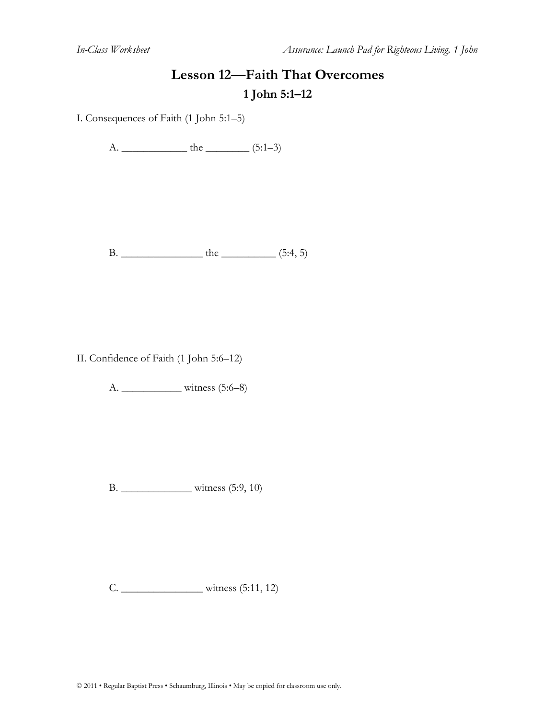# **Lesson 12—Faith That Overcomes 1 John 5:1–12**

I. Consequences of Faith (1 John 5:1–5)

A. \_\_\_\_\_\_\_\_\_\_\_\_ the \_\_\_\_\_\_\_\_ (5:1–3)

B. \_\_\_\_\_\_\_\_\_\_\_\_\_\_\_ the \_\_\_\_\_\_\_\_\_\_ (5:4, 5)

II. Confidence of Faith (1 John 5:6–12)

A. \_\_\_\_\_\_\_\_\_\_\_ witness (5:6–8)

B. \_\_\_\_\_\_\_\_\_\_\_\_\_ witness (5:9, 10)

C. \_\_\_\_\_\_\_\_\_\_\_\_\_\_\_ witness (5:11, 12)